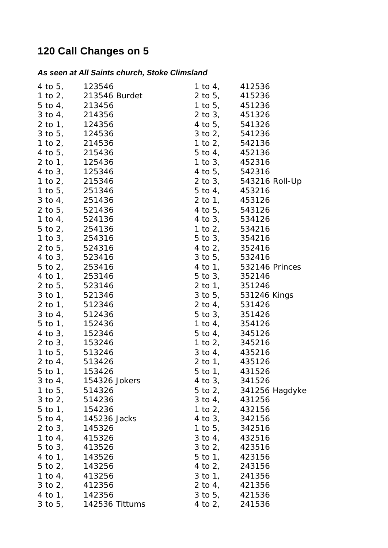## **120 Call Changes on 5**

## *As seen at All Saints church, Stoke Climsland*

| 4 to 5, 123546 1 to 4, 412536                                                                                                                                                                                                                        |                                  |
|------------------------------------------------------------------------------------------------------------------------------------------------------------------------------------------------------------------------------------------------------|----------------------------------|
| 4 to 5, $123546$<br>5 to 4, $215346$<br>5 to 4, $213456$<br>5 to 4, $213456$<br>5 to 4, $214356$<br>2 to 5, $451236$<br>2 to 5, $124356$<br>4 to 5, $124356$<br>4 to 5, $124536$<br>4 to 5, $215436$<br>4 to 5, $215436$<br>4 to 5, $215436$<br>4 to |                                  |
|                                                                                                                                                                                                                                                      |                                  |
|                                                                                                                                                                                                                                                      |                                  |
|                                                                                                                                                                                                                                                      |                                  |
|                                                                                                                                                                                                                                                      |                                  |
|                                                                                                                                                                                                                                                      |                                  |
|                                                                                                                                                                                                                                                      |                                  |
|                                                                                                                                                                                                                                                      |                                  |
|                                                                                                                                                                                                                                                      |                                  |
|                                                                                                                                                                                                                                                      |                                  |
|                                                                                                                                                                                                                                                      |                                  |
|                                                                                                                                                                                                                                                      |                                  |
|                                                                                                                                                                                                                                                      |                                  |
|                                                                                                                                                                                                                                                      |                                  |
|                                                                                                                                                                                                                                                      |                                  |
|                                                                                                                                                                                                                                                      |                                  |
|                                                                                                                                                                                                                                                      |                                  |
|                                                                                                                                                                                                                                                      |                                  |
|                                                                                                                                                                                                                                                      |                                  |
|                                                                                                                                                                                                                                                      |                                  |
|                                                                                                                                                                                                                                                      |                                  |
|                                                                                                                                                                                                                                                      |                                  |
|                                                                                                                                                                                                                                                      |                                  |
|                                                                                                                                                                                                                                                      |                                  |
|                                                                                                                                                                                                                                                      |                                  |
|                                                                                                                                                                                                                                                      |                                  |
|                                                                                                                                                                                                                                                      |                                  |
|                                                                                                                                                                                                                                                      |                                  |
|                                                                                                                                                                                                                                                      |                                  |
|                                                                                                                                                                                                                                                      |                                  |
| 3 to 4, 154326 Jokers                                                                                                                                                                                                                                | 4 to 3, 341526                   |
| 1 to 5, 514326                                                                                                                                                                                                                                       | 5 to 2, 341256 Hagdyke           |
| 3 to 2, 514236                                                                                                                                                                                                                                       | 3 to 4, 431256                   |
| 5 to 1, 154236                                                                                                                                                                                                                                       | 1 to 2, 432156                   |
| 5 to 4, 145236 Jacks                                                                                                                                                                                                                                 | 4 to 3, 342156                   |
| 2 to 3, 145326                                                                                                                                                                                                                                       | 1 to 5, 342516                   |
| 1 to 4, 415326                                                                                                                                                                                                                                       | $3 \text{ to } 4, \qquad 432516$ |
| 5 to 3, 413526                                                                                                                                                                                                                                       | 3 to 2, 423516                   |
| 4 to 1, 143526                                                                                                                                                                                                                                       | 5 to 1, 423156                   |
| 5 to 2, 143256                                                                                                                                                                                                                                       | 4 to 2, 243156                   |
| 1 to 4, 413256                                                                                                                                                                                                                                       | 3 to 1, 241356                   |
| 3 to 2, 412356                                                                                                                                                                                                                                       | 2 to 4, 421356                   |
| 4 to 1, 142356                                                                                                                                                                                                                                       | 3 to 5, 421536                   |
| 3 to 5, 142536 Tittums                                                                                                                                                                                                                               | 4 to 2, 241536                   |
|                                                                                                                                                                                                                                                      |                                  |